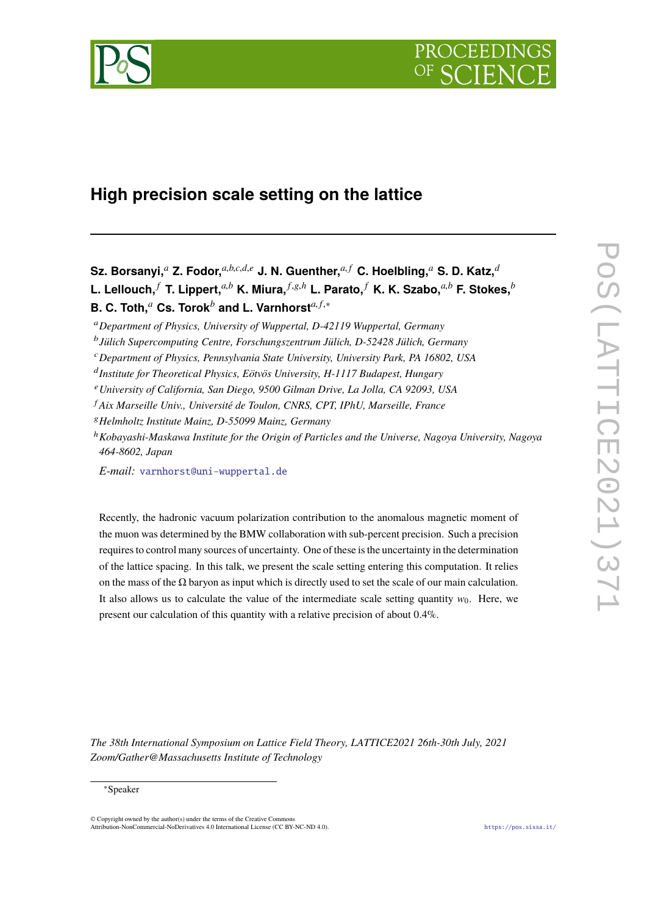

# **High precision scale setting on the lattice**

**Sz. Borsanyi,***<sup>a</sup>* **Z. Fodor,***a*,*b*,*c*,*d*,*<sup>e</sup>* **J. N. Guenther,***a*, *<sup>f</sup>* **C. Hoelbling,***<sup>a</sup>* **S. D. Katz,***<sup>d</sup>* L. Lellouch,  $^f$  T. Lippert,  $^{a,b}$  K. Miura,  $^{f,g,h}$  L. Parato,  $^f$  K. K. Szabo,  $^{a,b}$  F. Stokes,  $^b$ **B. C. Toth,***<sup>a</sup>* **Cs. Torok***<sup>b</sup>* **and L. Varnhorst***a*, *<sup>f</sup>*,<sup>∗</sup>

- <sup>e</sup>*University of California, San Diego, 9500 Gilman Drive, La Jolla, CA 92093, USA*
- <sup>f</sup> *Aix Marseille Univ., Université de Toulon, CNRS, CPT, IPhU, Marseille, France*
- <sup>g</sup>*Helmholtz Institute Mainz, D-55099 Mainz, Germany*
- <sup>h</sup>*Kobayashi-Maskawa Institute for the Origin of Particles and the Universe, Nagoya University, Nagoya 464-8602, Japan*

*E-mail:* [varnhorst@uni-wuppertal.de](mailto:varnhorst@uni-wuppertal.de)

Recently, the hadronic vacuum polarization contribution to the anomalous magnetic moment of the muon was determined by the BMW collaboration with sub-percent precision. Such a precision requires to control many sources of uncertainty. One of these is the uncertainty in the determination of the lattice spacing. In this talk, we present the scale setting entering this computation. It relies on the mass of the  $\Omega$  baryon as input which is directly used to set the scale of our main calculation. It also allows us to calculate the value of the intermediate scale setting quantity  $w_0$ . Here, we present our calculation of this quantity with a relative precision of about 0.4%.

*The 38th International Symposium on Lattice Field Theory, LATTICE2021 26th-30th July, 2021 Zoom/Gather@Massachusetts Institute of Technology*

#### ∗Speaker

© Copyright owned by the author(s) under the terms of the Creative Commons Attribution-NonCommercial-NoDerivatives 4.0 International License (CC BY-NC-ND 4.0). <https://pos.sissa.it/>

<sup>a</sup>*Department of Physics, University of Wuppertal, D-42119 Wuppertal, Germany*

b *Jülich Supercomputing Centre, Forschungszentrum Jülich, D-52428 Jülich, Germany*

<sup>c</sup>*Department of Physics, Pennsylvania State University, University Park, PA 16802, USA*

d *Institute for Theoretical Physics, Eötvös University, H-1117 Budapest, Hungary*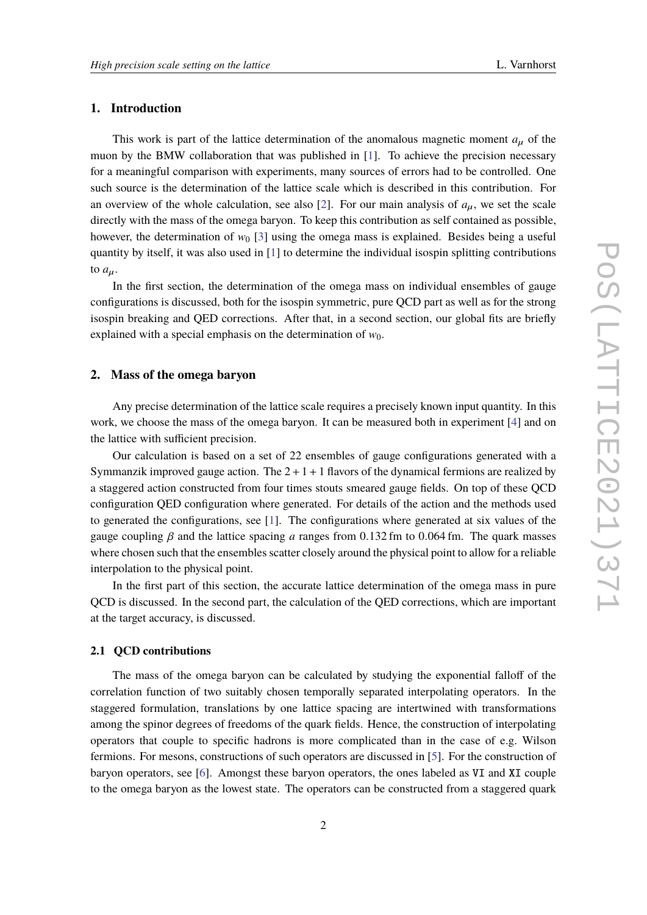# **1. Introduction**

This work is part of the lattice determination of the anomalous magnetic moment  $a_{\mu}$  of the muon by the BMW collaboration that was published in [\[1\]](#page-8-0). To achieve the precision necessary for a meaningful comparison with experiments, many sources of errors had to be controlled. One such source is the determination of the lattice scale which is described in this contribution. For an overview of the whole calculation, see also [\[2\]](#page-8-1). For our main analysis of  $a<sub>u</sub>$ , we set the scale directly with the mass of the omega baryon. To keep this contribution as self contained as possible, however, the determination of  $w_0$  [\[3\]](#page-8-2) using the omega mass is explained. Besides being a useful quantity by itself, it was also used in [\[1\]](#page-8-0) to determine the individual isospin splitting contributions to  $a_{\mu}$ .

In the first section, the determination of the omega mass on individual ensembles of gauge configurations is discussed, both for the isospin symmetric, pure QCD part as well as for the strong isospin breaking and QED corrections. After that, in a second section, our global fits are briefly explained with a special emphasis on the determination of  $w_0$ .

## **2. Mass of the omega baryon**

Any precise determination of the lattice scale requires a precisely known input quantity. In this work, we choose the mass of the omega baryon. It can be measured both in experiment [\[4\]](#page-8-3) and on the lattice with sufficient precision.

Our calculation is based on a set of 22 ensembles of gauge configurations generated with a Symmanzik improved gauge action. The  $2+1+1$  flavors of the dynamical fermions are realized by a staggered action constructed from four times stouts smeared gauge fields. On top of these QCD configuration QED configuration where generated. For details of the action and the methods used to generated the configurations, see [\[1\]](#page-8-0). The configurations where generated at six values of the gauge coupling  $\beta$  and the lattice spacing *a* ranges from 0.132 fm to 0.064 fm. The quark masses where chosen such that the ensembles scatter closely around the physical point to allow for a reliable interpolation to the physical point.

In the first part of this section, the accurate lattice determination of the omega mass in pure QCD is discussed. In the second part, the calculation of the QED corrections, which are important at the target accuracy, is discussed.

#### **2.1 QCD contributions**

The mass of the omega baryon can be calculated by studying the exponential falloff of the correlation function of two suitably chosen temporally separated interpolating operators. In the staggered formulation, translations by one lattice spacing are intertwined with transformations among the spinor degrees of freedoms of the quark fields. Hence, the construction of interpolating operators that couple to specific hadrons is more complicated than in the case of e.g. Wilson fermions. For mesons, constructions of such operators are discussed in [\[5\]](#page-8-4). For the construction of baryon operators, see [\[6\]](#page-8-5). Amongst these baryon operators, the ones labeled as VI and XI couple to the omega baryon as the lowest state. The operators can be constructed from a staggered quark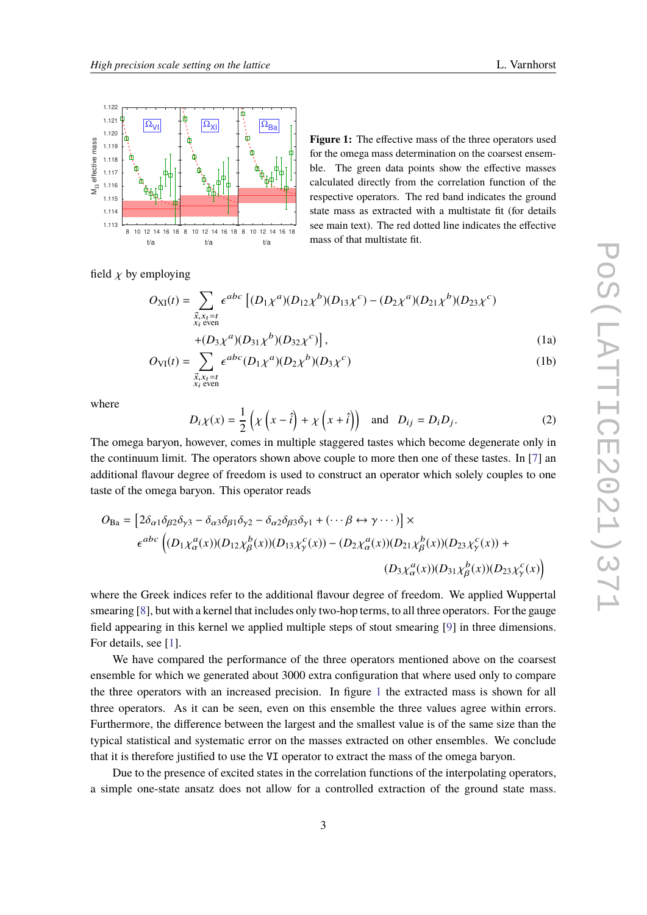<span id="page-2-0"></span>

**Figure 1:** The effective mass of the three operators used for the omega mass determination on the coarsest ensemble. The green data points show the effective masses calculated directly from the correlation function of the respective operators. The red band indicates the ground state mass as extracted with a multistate fit (for details see main text). The red dotted line indicates the effective mass of that multistate fit.

field  $\chi$  by employing

$$
O_{\text{XI}}(t) = \sum_{\substack{\vec{x}, x_t = t \\ x_t \text{ even}}} \epsilon^{abc} \left[ (D_1 \chi^a)(D_{12} \chi^b)(D_{13} \chi^c) - (D_2 \chi^a)(D_{21} \chi^b)(D_{23} \chi^c) \right]
$$
  
+  $(D_3 \chi^a)(D_{31} \chi^b)(D_{32} \chi^c) \left[ , \right]$  (1)

$$
+(D_3\chi^a)(D_{31}\chi^b)(D_{32}\chi^c)\Big],\tag{1a}
$$

$$
O_{VI}(t) = \sum_{\substack{\vec{x}, x_t = t \\ x_i \text{ even}}} \epsilon^{abc} (D_1 \chi^a) (D_2 \chi^b) (D_3 \chi^c)
$$
 (1b)

where

$$
D_i \chi(x) = \frac{1}{2} \left( \chi \left( x - \hat{i} \right) + \chi \left( x + \hat{i} \right) \right) \text{ and } D_{ij} = D_i D_j. \tag{2}
$$

The omega baryon, however, comes in multiple staggered tastes which become degenerate only in the continuum limit. The operators shown above couple to more then one of these tastes. In [\[7\]](#page-8-6) an additional flavour degree of freedom is used to construct an operator which solely couples to one taste of the omega baryon. This operator reads

$$
O_{\text{Ba}} = \left[2\delta_{\alpha1}\delta_{\beta2}\delta_{\gamma3} - \delta_{\alpha3}\delta_{\beta1}\delta_{\gamma2} - \delta_{\alpha2}\delta_{\beta3}\delta_{\gamma1} + (\cdots \beta \leftrightarrow \gamma \cdots)\right] \times
$$
  

$$
\epsilon^{abc} \left( (D_1 \chi^a_{\alpha}(x))(D_{12} \chi^b_{\beta}(x))(D_{13} \chi^c_{\gamma}(x)) - (D_2 \chi^a_{\alpha}(x))(D_{21} \chi^b_{\beta}(x))(D_{23} \chi^c_{\gamma}(x)) + (D_3 \chi^a_{\alpha}(x))(D_{31} \chi^b_{\beta}(x))(D_{23} \chi^c_{\gamma}(x))\right)
$$

where the Greek indices refer to the additional flavour degree of freedom. We applied Wuppertal smearing [\[8\]](#page-8-7), but with a kernel that includes only two-hop terms, to all three operators. For the gauge field appearing in this kernel we applied multiple steps of stout smearing [\[9\]](#page-8-8) in three dimensions. For details, see [\[1\]](#page-8-0).

We have compared the performance of the three operators mentioned above on the coarsest ensemble for which we generated about 3000 extra configuration that where used only to compare the three operators with an increased precision. In figure [1](#page-2-0) the extracted mass is shown for all three operators. As it can be seen, even on this ensemble the three values agree within errors. Furthermore, the difference between the largest and the smallest value is of the same size than the typical statistical and systematic error on the masses extracted on other ensembles. We conclude that it is therefore justified to use the VI operator to extract the mass of the omega baryon.

Due to the presence of excited states in the correlation functions of the interpolating operators, a simple one-state ansatz does not allow for a controlled extraction of the ground state mass.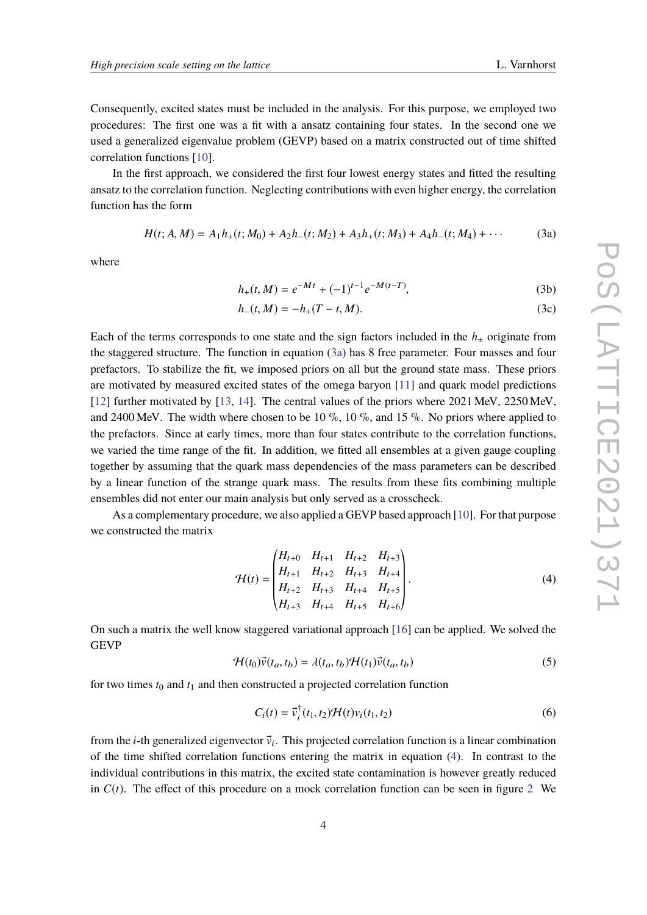Consequently, excited states must be included in the analysis. For this purpose, we employed two procedures: The first one was a fit with a ansatz containing four states. In the second one we used a generalized eigenvalue problem (GEVP) based on a matrix constructed out of time shifted correlation functions [\[10\]](#page-8-9).

In the first approach, we considered the first four lowest energy states and fitted the resulting ansatz to the correlation function. Neglecting contributions with even higher energy, the correlation function has the form

<span id="page-3-0"></span>
$$
H(t; A, M) = A_1 h_+(t; M_0) + A_2 h_-(t; M_2) + A_3 h_+(t; M_3) + A_4 h_-(t; M_4) + \cdots
$$
 (3a)

where

$$
h_{+}(t, M) = e^{-Mt} + (-1)^{t-1} e^{-M(t-T)},
$$
\n(3b)

$$
h_{-}(t, M) = -h_{+}(T - t, M). \tag{3c}
$$

Each of the terms corresponds to one state and the sign factors included in the  $h<sub>±</sub>$  originate from the staggered structure. The function in equation [\(3a\)](#page-3-0) has 8 free parameter. Four masses and four prefactors. To stabilize the fit, we imposed priors on all but the ground state mass. These priors are motivated by measured excited states of the omega baryon [\[11\]](#page-8-10) and quark model predictions [\[12\]](#page-8-11) further motivated by [\[13,](#page-8-12) [14\]](#page-8-13). The central values of the priors where 2021 MeV, 2250 MeV, and 2400 MeV. The width where chosen to be 10  $\%$ , 10  $\%$ , and 15  $\%$ . No priors where applied to the prefactors. Since at early times, more than four states contribute to the correlation functions, we varied the time range of the fit. In addition, we fitted all ensembles at a given gauge coupling together by assuming that the quark mass dependencies of the mass parameters can be described by a linear function of the strange quark mass. The results from these fits combining multiple ensembles did not enter our main analysis but only served as a crosscheck.

As a complementary procedure, we also applied a GEVP based approach [\[10\]](#page-8-9). For that purpose we constructed the matrix

<span id="page-3-1"></span>
$$
\mathcal{H}(t) = \begin{pmatrix} H_{t+0} & H_{t+1} & H_{t+2} & H_{t+3} \\ H_{t+1} & H_{t+2} & H_{t+3} & H_{t+4} \\ H_{t+2} & H_{t+3} & H_{t+4} & H_{t+5} \\ H_{t+3} & H_{t+4} & H_{t+5} & H_{t+6} \end{pmatrix} . \tag{4}
$$

On such a matrix the well know staggered variational approach [\[16\]](#page-9-0) can be applied. We solved the **GEVP** 

$$
\mathcal{H}(t_0)\vec{v}(t_a, t_b) = \lambda(t_a, t_b)\mathcal{H}(t_1)\vec{v}(t_a, t_b)
$$
\n(5)

for two times  $t_0$  and  $t_1$  and then constructed a projected correlation function

$$
C_i(t) = \vec{v}_i^{\dagger}(t_1, t_2) \mathcal{H}(t) v_i(t_1, t_2)
$$
\n
$$
\tag{6}
$$

from the *i*-th generalized eigenvector  $\vec{v}_i$ . This projected correlation function is a linear combination of the time shifted correlation functions entering the matrix in equation [\(4\)](#page-3-1). In contrast to the individual contributions in this matrix, the excited state contamination is however greatly reduced in  $C(t)$ . The effect of this procedure on a mock correlation function can be seen in figure [2](#page-4-0) We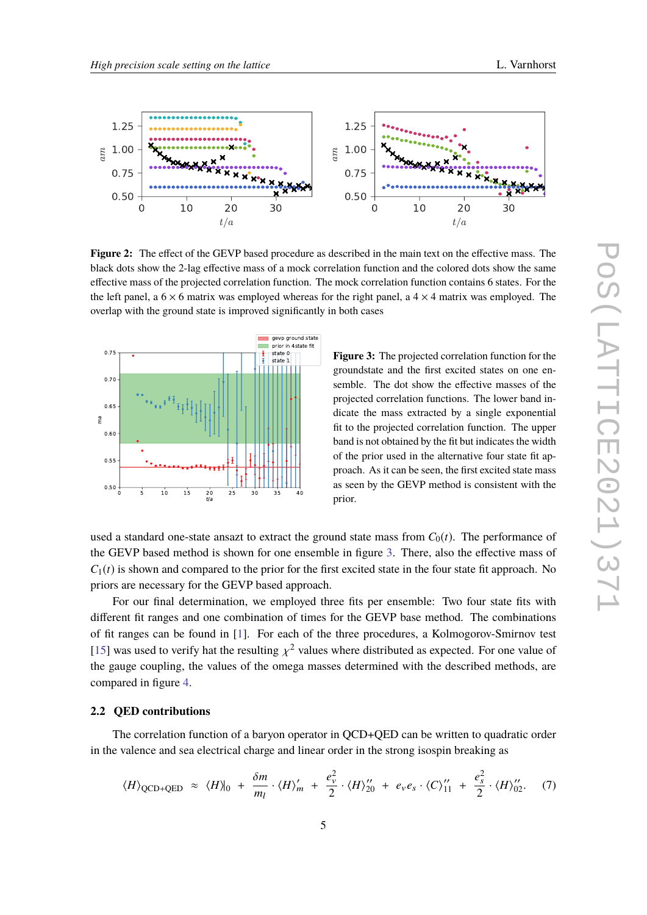<span id="page-4-0"></span>

**Figure 2:** The effect of the GEVP based procedure as described in the main text on the effective mass. The black dots show the 2-lag effective mass of a mock correlation function and the colored dots show the same effective mass of the projected correlation function. The mock correlation function contains 6 states. For the the left panel, a  $6 \times 6$  matrix was employed whereas for the right panel, a  $4 \times 4$  matrix was employed. The overlap with the ground state is improved significantly in both cases

<span id="page-4-1"></span>

**Figure 3:** The projected correlation function for the groundstate and the first excited states on one ensemble. The dot show the effective masses of the projected correlation functions. The lower band indicate the mass extracted by a single exponential fit to the projected correlation function. The upper band is not obtained by the fit but indicates the width of the prior used in the alternative four state fit approach. As it can be seen, the first excited state mass as seen by the GEVP method is consistent with the prior.

used a standard one-state ansazt to extract the ground state mass from  $C_0(t)$ . The performance of the GEVP based method is shown for one ensemble in figure [3.](#page-4-1) There, also the effective mass of  $C_1(t)$  is shown and compared to the prior for the first excited state in the four state fit approach. No priors are necessary for the GEVP based approach.

For our final determination, we employed three fits per ensemble: Two four state fits with different fit ranges and one combination of times for the GEVP base method. The combinations of fit ranges can be found in [\[1\]](#page-8-0). For each of the three procedures, a Kolmogorov-Smirnov test [\[15\]](#page-9-1) was used to verify hat the resulting  $\chi^2$  values where distributed as expected. For one value of the gauge coupling, the values of the gauges masses determined with the described methods, are the gauge coupling, the values of the omega masses determined with the described methods, are compared in figure [4.](#page-5-0)

### **2.2 QED contributions**

The correlation function of a baryon operator in QCD+QED can be written to quadratic order in the valence and sea electrical charge and linear order in the strong isospin breaking as

$$
\langle H \rangle_{\text{QCD+QED}} \approx \langle H \rangle|_0 + \frac{\delta m}{m_l} \cdot \langle H \rangle'_{m} + \frac{e_v^2}{2} \cdot \langle H \rangle''_{20} + e_v e_s \cdot \langle C \rangle''_{11} + \frac{e_s^2}{2} \cdot \langle H \rangle''_{02}. \tag{7}
$$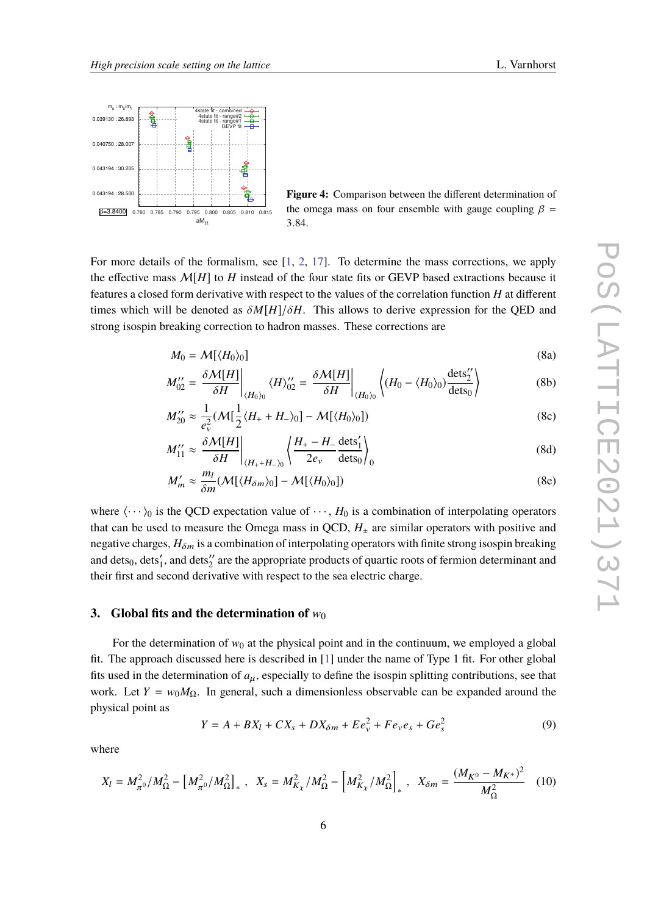<span id="page-5-0"></span>

**Figure 4:** Comparison between the different determination of the omega mass on four ensemble with gauge coupling  $\beta$  = <sup>3</sup>.84.

For more details of the formalism, see [\[1,](#page-8-0) [2,](#page-8-1) [17\]](#page-9-2). To determine the mass corrections, we apply the effective mass  $\mathcal{M}[H]$  to *H* instead of the four state fits or GEVP based extractions because it features a closed form derivative with respect to the values of the correlation function *H* at different times which will be denoted as  $\delta M[H]/\delta H$ . This allows to derive expression for the QED and strong isospin breaking correction to hadron masses. These corrections are

$$
M_0 = \mathcal{M}[\langle H_0 \rangle_0] \tag{8a}
$$

$$
M_{02}^{"'} = \frac{\delta \mathcal{M}[H]}{\delta H} \bigg|_{\langle H_0 \rangle_0} \langle H \rangle_{02}^{"'} = \frac{\delta \mathcal{M}[H]}{\delta H} \bigg|_{\langle H_0 \rangle_0} \left\langle (H_0 - \langle H_0 \rangle_0) \frac{\text{dets}_2^{"}}{\text{dets}_0} \right\rangle \tag{8b}
$$

$$
M_{20}^{"'} \approx \frac{1}{e_v^2} (\mathcal{M}[\frac{1}{2}\langle H_+ + H_- \rangle_0] - \mathcal{M}[\langle H_0 \rangle_0])
$$
\n(8c)

$$
M_{11}^{\prime\prime} \approx \left. \frac{\delta \mathcal{M}[H]}{\delta H} \right|_{\langle H_+ + H_- \rangle_0} \left\langle \frac{H_+ - H_-}{2e_v} \frac{\text{dets}'_1}{\text{dets}_0} \right\rangle_0 \tag{8d}
$$

$$
M'_m \approx \frac{m_l}{\delta m} (\mathcal{M}[\langle H_{\delta m} \rangle_0] - \mathcal{M}[\langle H_0 \rangle_0])
$$
 (8e)

where  $\langle \cdots \rangle_0$  is the QCD expectation value of  $\cdots$ ,  $H_0$  is a combination of interpolating operators that can be used to measure the Omega mass in QCD,  $H_{\pm}$  are similar operators with positive and negative charges,  $H_{\delta m}$  is a combination of interpolating operators with finite strong isospin breaking and dets $_0$ , dets $_1'$ , and dets $_2''$  are the appropriate products of quartic roots of fermion determinant and their first and second derivative with respect to the sea electric charge.

#### **3.** Global fits and the determination of  $w_0$

For the determination of  $w_0$  at the physical point and in the continuum, we employed a global fit. The approach discussed here is described in [\[1\]](#page-8-0) under the name of Type 1 fit. For other global fits used in the determination of  $a_{\mu}$ , especially to define the isospin splitting contributions, see that work. Let  $Y = w_0 M_{\Omega}$ . In general, such a dimensionless observable can be expanded around the physical point as

<span id="page-5-1"></span>
$$
Y = A + BX_l + CX_s + DX_{\delta m} + E e_v^2 + F e_v e_s + Ge_s^2
$$
\n(9)

where

$$
X_{l} = M_{\pi^{0}}^{2} / M_{\Omega}^{2} - \left[ M_{\pi^{0}}^{2} / M_{\Omega}^{2} \right]_{*} , \quad X_{s} = M_{K_{\chi}}^{2} / M_{\Omega}^{2} - \left[ M_{K_{\chi}}^{2} / M_{\Omega}^{2} \right]_{*} , \quad X_{\delta m} = \frac{(M_{K^{0}} - M_{K^{+}})^{2}}{M_{\Omega}^{2}} \quad (10)
$$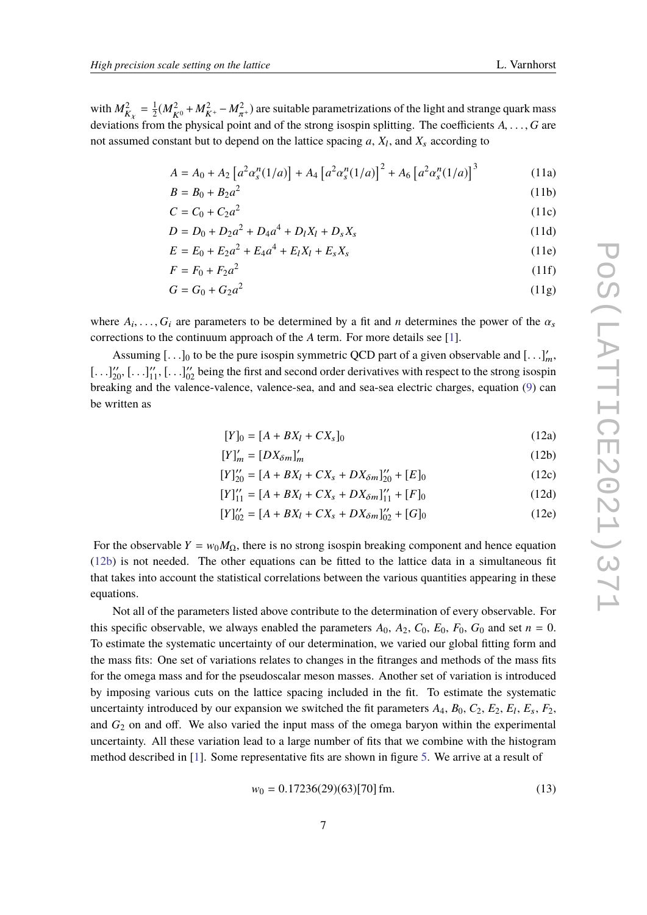with  $M_R^2$  $\frac{2}{K_X} = \frac{1}{2}$  $\frac{1}{2}(M_{K^0}^2 + M_{K^+}^2 - M_{\pi^+}^2)$  are suitable parametrizations of the light and strange quark mass deviations from the physical point and of the strong isospin splitting. The coefficients  $A, \ldots, G$  are not assumed constant but to depend on the lattice spacing  $a$ ,  $X_l$ , and  $X_s$  according to

$$
A = A_0 + A_2 \left[ a^2 \alpha_s^n(1/a) \right] + A_4 \left[ a^2 \alpha_s^n(1/a) \right]^2 + A_6 \left[ a^2 \alpha_s^n(1/a) \right]^3 \tag{11a}
$$

$$
B = B_0 + B_2 a^2 \tag{11b}
$$

$$
C = C_0 + C_2 a^2 \tag{11c}
$$

$$
D = D_0 + D_2 a^2 + D_4 a^4 + D_l X_l + D_s X_s \tag{11d}
$$

$$
E = E_0 + E_2 a^2 + E_4 a^4 + E_l X_l + E_s X_s \tag{11e}
$$

$$
F = F_0 + F_2 a^2 \tag{11f}
$$

$$
G = G_0 + G_2 a^2 \tag{11g}
$$

where  $A_i, \ldots, G_i$  are parameters to be determined by a fit and *n* determines the power of the  $\alpha_s$ <br>corrections to the continuum engroech of the 4 term. For more details see [1] corrections to the continuum approach of the *A* term. For more details see [\[1\]](#page-8-0).

<span id="page-6-1"></span>Assuming  $[\ldots]_0$  to be the pure isospin symmetric QCD part of a given observable and  $[\ldots]_m^{\prime\prime}$ ,  $[\ldots]_m^{\prime\prime}$  being the first and accord order derivatives with respect to the strong isospin  $\left[\ldots\right]_{20}^{\prime\prime}, \left[\ldots\right]_{11}^{\prime\prime}, \left[\ldots\right]_{02}^{\prime\prime}$  being the first and second order derivatives with respect to the strong isospin<br>healting and the valence valence, valence are and and see as algebraic shares agusti breaking and the valence-valence, valence-sea, and and sea-sea electric charges, equation [\(9\)](#page-5-1) can be written as

<span id="page-6-0"></span>
$$
[Y]_0 = [A + BX_l + CX_s]_0 \tag{12a}
$$

$$
[Y]_m' = [DX_{\delta m}]_m'
$$
 (12b)

$$
[Y]_{20}^{"'} = [A + BX_l + CX_s + DX_{\delta m}]_{20}^{"'} + [E]_0 \tag{12c}
$$

$$
[Y]_{11}^{"} = [A + BX_l + CX_s + DX_{\delta m}]_{11}^{"} + [F]_0 \tag{12d}
$$

$$
[Y]'_{02} = [A + BX_l + CX_s + DX_{\delta m}]_{02}'' + [G]_0 \tag{12e}
$$

For the observable  $Y = w_0 M_{\Omega}$ , there is no strong isospin breaking component and hence equation [\(12b\)](#page-6-0) is not needed. The other equations can be fitted to the lattice data in a simultaneous fit that takes into account the statistical correlations between the various quantities appearing in these equations.

Not all of the parameters listed above contribute to the determination of every observable. For this specific observable, we always enabled the parameters  $A_0$ ,  $A_2$ ,  $C_0$ ,  $E_0$ ,  $F_0$ ,  $G_0$  and set  $n = 0$ . To estimate the systematic uncertainty of our determination, we varied our global fitting form and the mass fits: One set of variations relates to changes in the fitranges and methods of the mass fits for the omega mass and for the pseudoscalar meson masses. Another set of variation is introduced by imposing various cuts on the lattice spacing included in the fit. To estimate the systematic uncertainty introduced by our expansion we switched the fit parameters  $A_4$ ,  $B_0$ ,  $C_2$ ,  $E_2$ ,  $E_1$ ,  $E_s$ ,  $F_2$ , and  $G_2$  on and off. We also varied the input mass of the omega baryon within the experimental uncertainty. All these variation lead to a large number of fits that we combine with the histogram method described in [\[1\]](#page-8-0). Some representative fits are shown in figure [5.](#page-7-0) We arrive at a result of

$$
w_0 = 0.17236(29)(63)[70] \,\text{fm}.\tag{13}
$$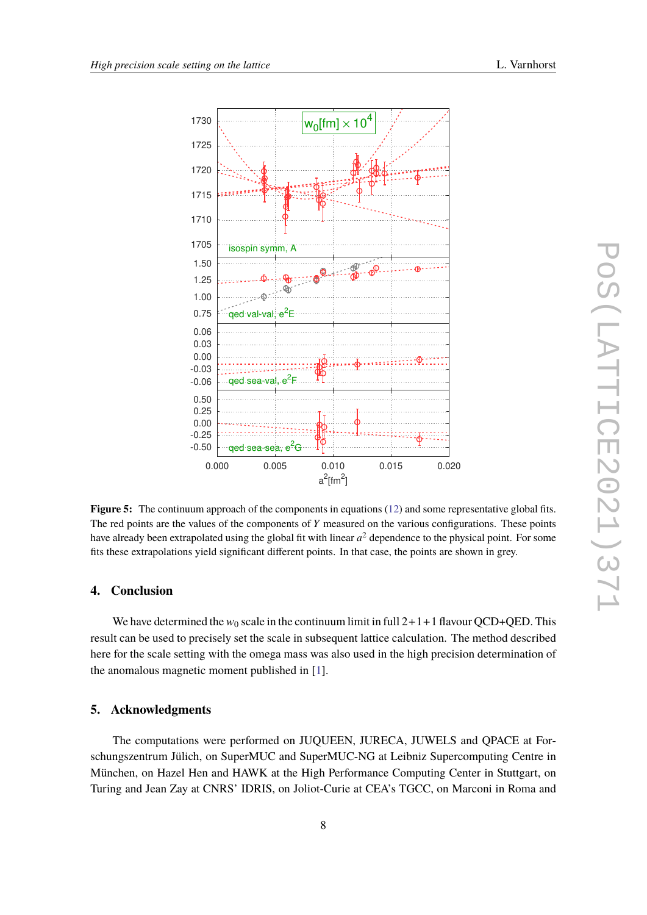

<span id="page-7-0"></span>

**Figure 5:** The continuum approach of the components in equations [\(12\)](#page-6-1) and some representative global fits. The red points are the values of the components of *Y* measured on the various configurations. These points have already been extrapolated using the global fit with linear  $a^2$  dependence to the physical point. For some fits these extrapolations yield significant different points. In that case, the points are shown in grey.

## **4. Conclusion**

We have determined the  $w_0$  scale in the continuum limit in full  $2+1+1$  flavour QCD+QED. This result can be used to precisely set the scale in subsequent lattice calculation. The method described here for the scale setting with the omega mass was also used in the high precision determination of the anomalous magnetic moment published in [\[1\]](#page-8-0).

## **5. Acknowledgments**

The computations were performed on JUQUEEN, JURECA, JUWELS and QPACE at Forschungszentrum Jülich, on SuperMUC and SuperMUC-NG at Leibniz Supercomputing Centre in München, on Hazel Hen and HAWK at the High Performance Computing Center in Stuttgart, on Turing and Jean Zay at CNRS' IDRIS, on Joliot-Curie at CEA's TGCC, on Marconi in Roma and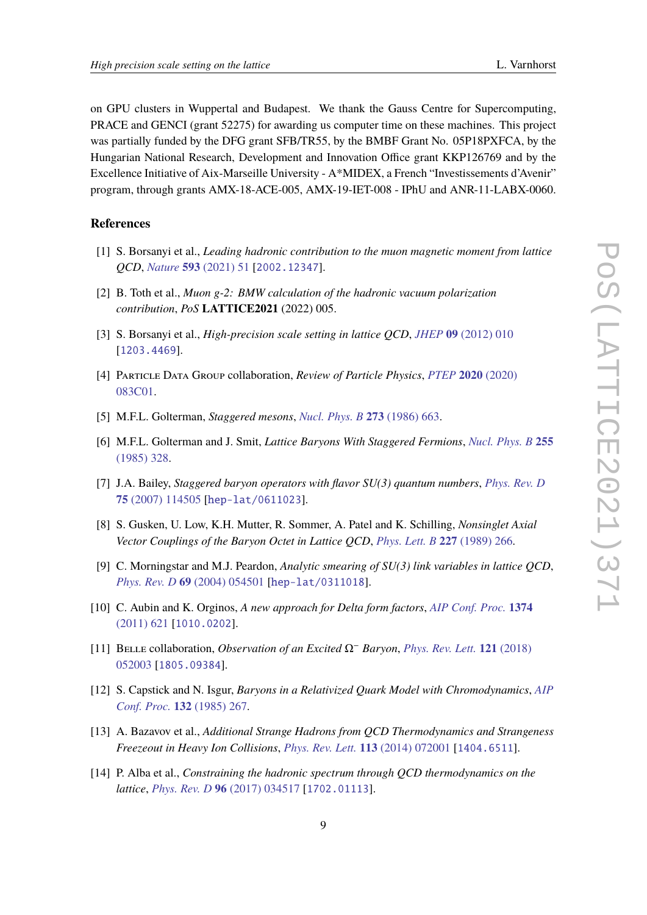on GPU clusters in Wuppertal and Budapest. We thank the Gauss Centre for Supercomputing, PRACE and GENCI (grant 52275) for awarding us computer time on these machines. This project was partially funded by the DFG grant SFB/TR55, by the BMBF Grant No. 05P18PXFCA, by the Hungarian National Research, Development and Innovation Office grant KKP126769 and by the Excellence Initiative of Aix-Marseille University - A\*MIDEX, a French "Investissements d'Avenir" program, through grants AMX-18-ACE-005, AMX-19-IET-008 - IPhU and ANR-11-LABX-0060.

# **References**

- <span id="page-8-0"></span>[1] S. Borsanyi et al., *Leading hadronic contribution to the muon magnetic moment from lattice QCD*, *Nature* **593** [\(2021\) 51](https://doi.org/10.1038/s41586-021-03418-1) [[2002.12347](https://arxiv.org/abs/2002.12347)].
- <span id="page-8-1"></span>[2] B. Toth et al., *Muon g-2: BMW calculation of the hadronic vacuum polarization contribution*, *PoS* **LATTICE2021** (2022) 005.
- <span id="page-8-2"></span>[3] S. Borsanyi et al., *High-precision scale setting in lattice QCD*, *JHEP* **09** [\(2012\) 010](https://doi.org/10.1007/JHEP09(2012)010) [[1203.4469](https://arxiv.org/abs/1203.4469)].
- <span id="page-8-3"></span>[4] Particle Data Group collaboration, *Review of Particle Physics*, *[PTEP](https://doi.org/10.1093/ptep/ptaa104)* **2020** (2020) [083C01.](https://doi.org/10.1093/ptep/ptaa104)
- <span id="page-8-4"></span>[5] M.F.L. Golterman, *Staggered mesons*, *[Nucl. Phys. B](https://doi.org/10.1016/0550-3213(86)90383-4)* **273** (1986) 663.
- <span id="page-8-5"></span>[6] M.F.L. Golterman and J. Smit, *Lattice Baryons With Staggered Fermions*, *[Nucl. Phys. B](https://doi.org/10.1016/0550-3213(85)90138-5)* **255** [\(1985\) 328.](https://doi.org/10.1016/0550-3213(85)90138-5)
- <span id="page-8-6"></span>[7] J.A. Bailey, *Staggered baryon operators with flavor SU(3) quantum numbers*, *[Phys. Rev. D](https://doi.org/10.1103/PhysRevD.75.114505)* **75** [\(2007\) 114505](https://doi.org/10.1103/PhysRevD.75.114505) [[hep-lat/0611023](https://arxiv.org/abs/hep-lat/0611023)].
- <span id="page-8-7"></span>[8] S. Gusken, U. Low, K.H. Mutter, R. Sommer, A. Patel and K. Schilling, *Nonsinglet Axial Vector Couplings of the Baryon Octet in Lattice QCD*, *[Phys. Lett. B](https://doi.org/10.1016/S0370-2693(89)80034-6)* **227** (1989) 266.
- <span id="page-8-8"></span>[9] C. Morningstar and M.J. Peardon, *Analytic smearing of SU(3) link variables in lattice QCD*, *[Phys. Rev. D](https://doi.org/10.1103/PhysRevD.69.054501)* **69** (2004) 054501 [[hep-lat/0311018](https://arxiv.org/abs/hep-lat/0311018)].
- <span id="page-8-9"></span>[10] C. Aubin and K. Orginos, *A new approach for Delta form factors*, *[AIP Conf. Proc.](https://doi.org/10.1063/1.3647217)* **1374** [\(2011\) 621](https://doi.org/10.1063/1.3647217) [[1010.0202](https://arxiv.org/abs/1010.0202)].
- <span id="page-8-10"></span>[11] Belle collaboration, *Observation of an Excited* Ω<sup>−</sup> *Baryon*, *[Phys. Rev. Lett.](https://doi.org/10.1103/PhysRevLett.121.052003)* **121** (2018) [052003](https://doi.org/10.1103/PhysRevLett.121.052003) [[1805.09384](https://arxiv.org/abs/1805.09384)].
- <span id="page-8-11"></span>[12] S. Capstick and N. Isgur, *Baryons in a Relativized Quark Model with Chromodynamics*, *[AIP](https://doi.org/10.1103/PhysRevD.34.2809) [Conf. Proc.](https://doi.org/10.1103/PhysRevD.34.2809)* **132** (1985) 267.
- <span id="page-8-12"></span>[13] A. Bazavov et al., *Additional Strange Hadrons from QCD Thermodynamics and Strangeness Freezeout in Heavy Ion Collisions*, *[Phys. Rev. Lett.](https://doi.org/10.1103/PhysRevLett.113.072001)* **113** (2014) 072001 [[1404.6511](https://arxiv.org/abs/1404.6511)].
- <span id="page-8-13"></span>[14] P. Alba et al., *Constraining the hadronic spectrum through QCD thermodynamics on the lattice*, *[Phys. Rev. D](https://doi.org/10.1103/PhysRevD.96.034517)* **96** (2017) 034517 [[1702.01113](https://arxiv.org/abs/1702.01113)].